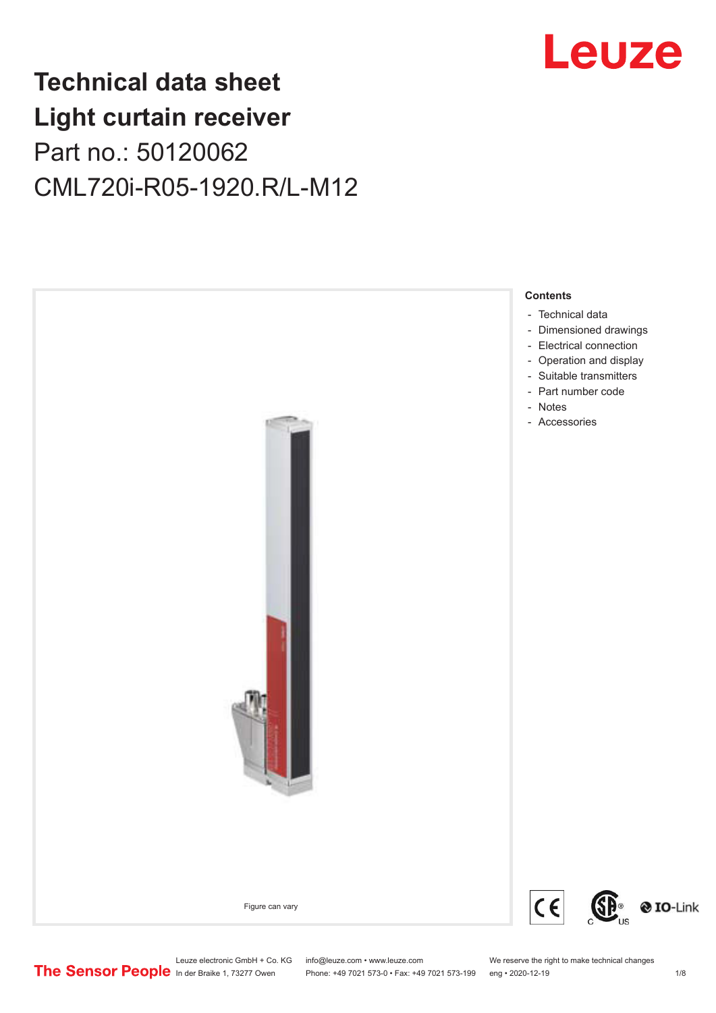# Leuze

## **Technical data sheet Light curtain receiver** Part no.: 50120062 CML720i-R05-1920.R/L-M12



Phone: +49 7021 573-0 • Fax: +49 7021 573-199 eng • 2020-12-19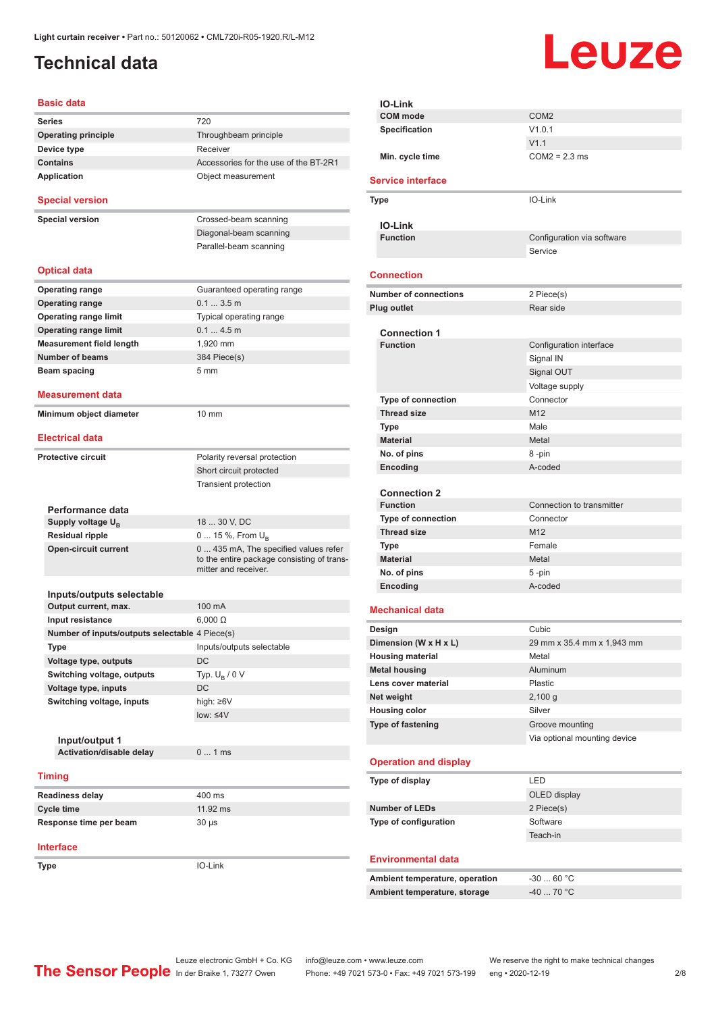## <span id="page-1-0"></span>**Technical data**

# Leuze

| <b>Basic data</b>                                     |                                                                      |
|-------------------------------------------------------|----------------------------------------------------------------------|
| <b>Series</b>                                         | 720                                                                  |
| <b>Operating principle</b>                            | Throughbeam principle                                                |
| Device type                                           | Receiver                                                             |
| <b>Contains</b>                                       | Accessories for the use of the BT-2R1                                |
| Application                                           | Object measurement                                                   |
| <b>Special version</b>                                |                                                                      |
| <b>Special version</b>                                | Crossed-beam scanning                                                |
|                                                       | Diagonal-beam scanning                                               |
|                                                       | Parallel-beam scanning                                               |
| <b>Optical data</b>                                   |                                                                      |
| <b>Operating range</b>                                | Guaranteed operating range                                           |
| <b>Operating range</b>                                | $0.13.5$ m                                                           |
| <b>Operating range limit</b>                          | Typical operating range                                              |
| <b>Operating range limit</b>                          | 0.14.5m                                                              |
| <b>Measurement field length</b>                       | 1.920 mm                                                             |
| <b>Number of beams</b>                                | 384 Piece(s)                                                         |
| Beam spacing                                          | 5 <sub>mm</sub>                                                      |
| <b>Measurement data</b>                               |                                                                      |
| Minimum object diameter                               | 10 mm                                                                |
| <b>Electrical data</b>                                |                                                                      |
|                                                       |                                                                      |
| <b>Protective circuit</b>                             | Polarity reversal protection                                         |
|                                                       | Short circuit protected                                              |
|                                                       | <b>Transient protection</b>                                          |
|                                                       |                                                                      |
| Performance data                                      | 18  30 V, DC                                                         |
| Supply voltage U <sub>B</sub>                         |                                                                      |
| <b>Residual ripple</b><br><b>Open-circuit current</b> | 0  15 %, From U <sub>B</sub><br>0 435 mA, The specified values refer |
|                                                       | to the entire package consisting of trans-<br>mitter and receiver.   |
| Inputs/outputs selectable                             |                                                                      |
| Output current, max.                                  | 100 mA                                                               |
| Input resistance                                      | $6,000 \Omega$                                                       |
| Number of inputs/outputs selectable 4 Piece(s)        |                                                                      |
| Type                                                  | Inputs/outputs selectable                                            |
| Voltage type, outputs                                 | DC                                                                   |
| Switching voltage, outputs                            | Typ. $U_R / 0 V$                                                     |
| Voltage type, inputs                                  | DC                                                                   |
| Switching voltage, inputs                             | high: ≥6V                                                            |
|                                                       | $low: 4V$                                                            |
|                                                       |                                                                      |
| Input/output 1                                        |                                                                      |
| Activation/disable delay                              | 01ms                                                                 |
| <b>Timing</b>                                         |                                                                      |
| <b>Readiness delay</b>                                | 400 ms                                                               |
| <b>Cycle time</b>                                     | 11.92 ms                                                             |
| Response time per beam                                | 30 µs                                                                |
| <b>Interface</b>                                      |                                                                      |
| Type                                                  | IO-Link                                                              |

| <b>IO-Link</b>                         |                              |
|----------------------------------------|------------------------------|
| <b>COM</b> mode                        | COM <sub>2</sub>             |
| <b>Specification</b>                   | V1.0.1                       |
|                                        | V1.1                         |
| Min. cycle time                        | $COM2 = 2.3$ ms              |
| <b>Service interface</b>               |                              |
| Type                                   | IO-Link                      |
|                                        |                              |
| IO-Link<br><b>Function</b>             | Configuration via software   |
|                                        | Service                      |
|                                        |                              |
| <b>Connection</b>                      |                              |
| <b>Number of connections</b>           | 2 Piece(s)                   |
| <b>Plug outlet</b>                     | Rear side                    |
|                                        |                              |
| <b>Connection 1</b><br><b>Function</b> | Configuration interface      |
|                                        | Signal IN                    |
|                                        | Signal OUT                   |
|                                        | Voltage supply               |
| Type of connection                     | Connector                    |
| <b>Thread size</b>                     | M12                          |
| <b>Type</b>                            | Male                         |
| <b>Material</b>                        | Metal                        |
| No. of pins                            | 8-pin                        |
| Encoding                               | A-coded                      |
|                                        |                              |
| <b>Connection 2</b>                    |                              |
| <b>Function</b>                        | Connection to transmitter    |
| <b>Type of connection</b>              | Connector                    |
| <b>Thread size</b>                     | M12                          |
| <b>Type</b>                            | Female                       |
| <b>Material</b>                        | Metal                        |
| No. of pins                            | 5-pin                        |
| Encoding                               | A-coded                      |
| <b>Mechanical data</b>                 |                              |
| Design                                 | Cubic                        |
| Dimension (W x H x L)                  | 29 mm x 35.4 mm x 1,943 mm   |
| <b>Housing material</b>                | Metal                        |
| <b>Metal housing</b>                   | Aluminum                     |
| Lens cover material                    | Plastic                      |
| Net weight                             | 2,100 g                      |
| <b>Housing color</b>                   | Silver                       |
| Type of fastening                      | Groove mounting              |
|                                        | Via optional mounting device |
| <b>Operation and display</b>           |                              |
|                                        |                              |
| Type of display                        | LED                          |
|                                        | OLED display                 |
| <b>Number of LEDs</b>                  | 2 Piece(s)                   |
| Type of configuration                  | Software                     |
|                                        | Teach-in                     |
| <b>Environmental data</b>              |                              |
|                                        |                              |
| Ambient temperature, operation         | $-3060 °C$                   |
| Ambient temperature, storage           | -40  70 °C                   |
|                                        |                              |

ln der Braike 1, 73277 Owen Phone: +49 7021 573-0 • Fax: +49 7021 573-199 eng • 2020-12-19

Leuze electronic GmbH + Co. KG info@leuze.com • www.leuze.com We reserve the right to make technical changes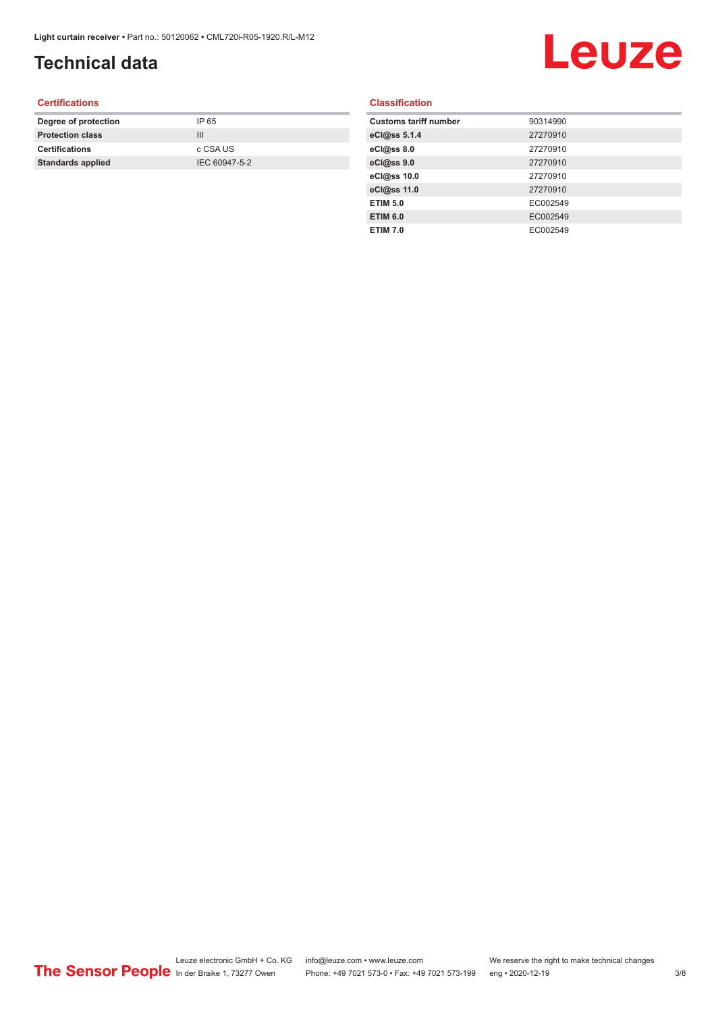## **Technical data**

# Leuze

#### **Certifications**

| Degree of protection     | IP 65         |
|--------------------------|---------------|
| <b>Protection class</b>  | Ш             |
| <b>Certifications</b>    | c CSA US      |
| <b>Standards applied</b> | IEC 60947-5-2 |
|                          |               |

#### **Classification**

| <b>Customs tariff number</b> | 90314990 |
|------------------------------|----------|
| eCl@ss 5.1.4                 | 27270910 |
| eCl@ss 8.0                   | 27270910 |
| eCl@ss 9.0                   | 27270910 |
| eCl@ss 10.0                  | 27270910 |
| eCl@ss 11.0                  | 27270910 |
| <b>ETIM 5.0</b>              | EC002549 |
| <b>ETIM 6.0</b>              | EC002549 |
| <b>ETIM 7.0</b>              | EC002549 |
|                              |          |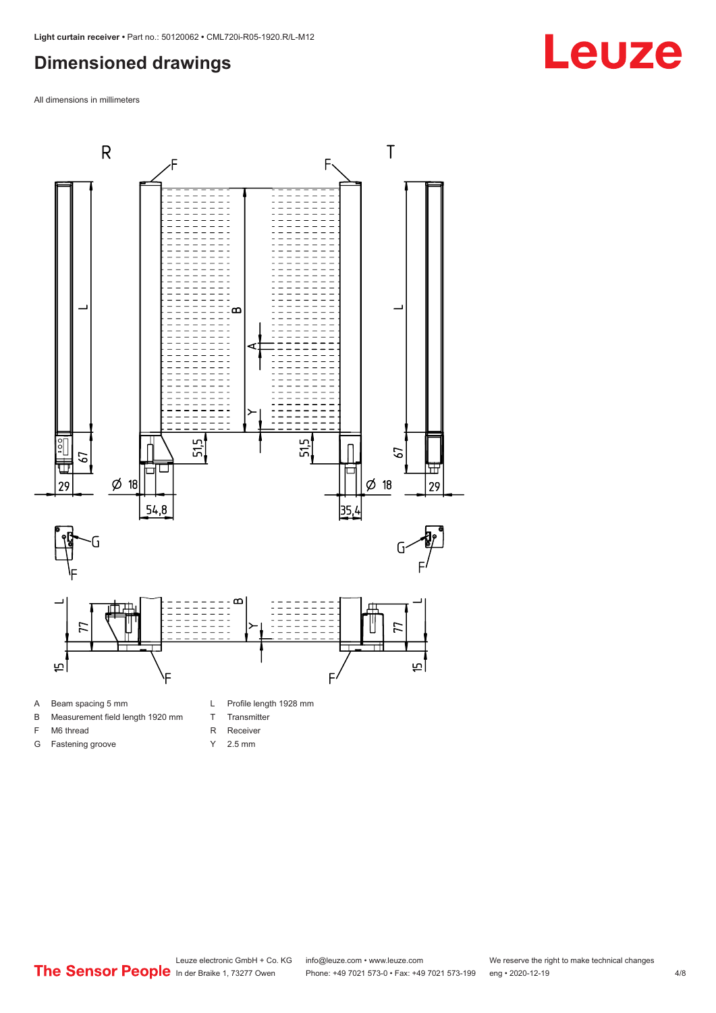#### <span id="page-3-0"></span>**Dimensioned drawings**

All dimensions in millimeters



A Beam spacing 5 mm

G Fastening groove

- B Measurement field length 1920 mm
- F M6 thread
- T Transmitter R Receiver
	-
	- Y 2.5 mm

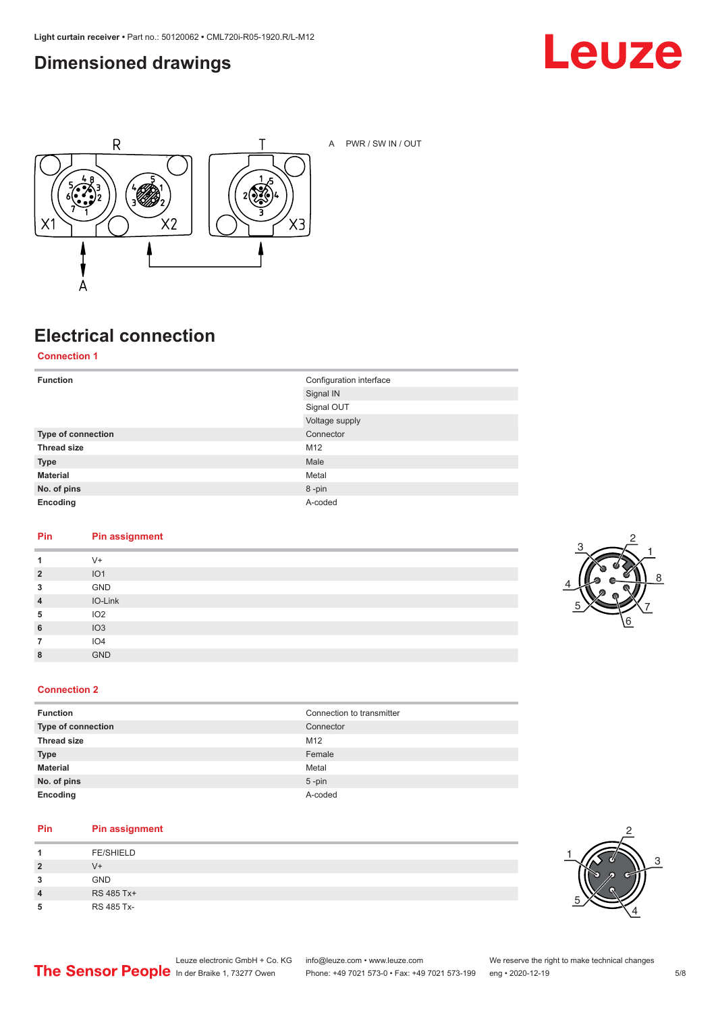### <span id="page-4-0"></span>**Dimensioned drawings**





A PWR / SW IN / OUT

### **Electrical connection**

**Connection 1**

| <b>Function</b>    | Configuration interface |
|--------------------|-------------------------|
|                    | Signal IN               |
|                    | Signal OUT              |
|                    | Voltage supply          |
| Type of connection | Connector               |
| <b>Thread size</b> | M12                     |
| <b>Type</b>        | Male                    |
| <b>Material</b>    | Metal                   |
| No. of pins        | 8-pin                   |
| Encoding           | A-coded                 |

#### **Pin Pin assignment**

| 1              | $V +$           |
|----------------|-----------------|
| $\overline{2}$ | IO1             |
| 3              | GND             |
| $\overline{4}$ | IO-Link         |
| 5              | IO2             |
| 6              | IO3             |
|                | IO <sub>4</sub> |
| 8              | <b>GND</b>      |



#### **Connection 2**

| <b>Function</b>    | Connection to transmitter |
|--------------------|---------------------------|
| Type of connection | Connector                 |
| <b>Thread size</b> | M12                       |
| <b>Type</b>        | Female                    |
| <b>Material</b>    | Metal                     |
| No. of pins        | $5$ -pin                  |
| Encoding           | A-coded                   |

#### **Pin Pin assignment**

|                         | <b>FE/SHIELD</b> |
|-------------------------|------------------|
| $\overline{\mathbf{2}}$ | V+               |
| 3                       | <b>GND</b>       |
| 4                       | RS 485 Tx+       |
| 5                       | RS 485 Tx-       |

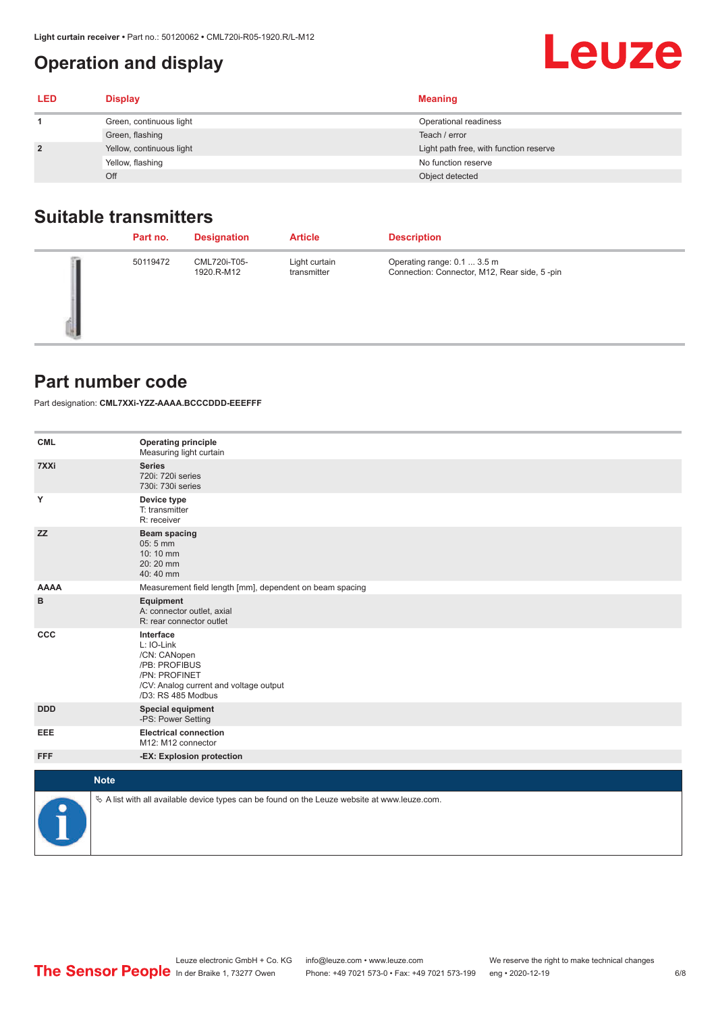### <span id="page-5-0"></span>**Operation and display**

| <b>LED</b>     | <b>Display</b>           | <b>Meaning</b>                         |
|----------------|--------------------------|----------------------------------------|
|                | Green, continuous light  | Operational readiness                  |
|                | Green, flashing          | Teach / error                          |
| $\overline{2}$ | Yellow, continuous light | Light path free, with function reserve |
|                | Yellow, flashing         | No function reserve                    |
|                | Off                      | Object detected                        |

#### **Suitable transmitters**

| Part no. | <b>Designation</b>         | <b>Article</b>               | <b>Description</b>                                                          |
|----------|----------------------------|------------------------------|-----------------------------------------------------------------------------|
| 50119472 | CML720i-T05-<br>1920.R-M12 | Light curtain<br>transmitter | Operating range: 0.1  3.5 m<br>Connection: Connector, M12, Rear side, 5-pin |

#### **Part number code**

Part designation: **CML7XXi-YZZ-AAAA.BCCCDDD-EEEFFF**

| <b>CML</b>           | <b>Operating principle</b><br>Measuring light curtain                                                                                     |
|----------------------|-------------------------------------------------------------------------------------------------------------------------------------------|
| 7XXi                 | <b>Series</b><br>720i: 720i series<br>730i: 730i series                                                                                   |
| Y                    | Device type<br>T: transmitter<br>R: receiver                                                                                              |
| <b>ZZ</b>            | <b>Beam spacing</b><br>05:5 mm<br>10:10 mm<br>20:20 mm<br>40:40 mm                                                                        |
| <b>AAAA</b>          | Measurement field length [mm], dependent on beam spacing                                                                                  |
| в                    | Equipment<br>A: connector outlet, axial<br>R: rear connector outlet                                                                       |
| CCC                  | Interface<br>L: IO-Link<br>/CN: CANopen<br>/PB: PROFIBUS<br>/PN: PROFINET<br>/CV: Analog current and voltage output<br>/D3: RS 485 Modbus |
| <b>DDD</b>           | <b>Special equipment</b><br>-PS: Power Setting                                                                                            |
| <b>EEE</b>           | <b>Electrical connection</b><br>M12: M12 connector                                                                                        |
| <b>FFF</b>           | -EX: Explosion protection                                                                                                                 |
| <b>Note</b>          |                                                                                                                                           |
|                      |                                                                                                                                           |
| $\ddot{\phantom{a}}$ | $\&$ A list with all available device types can be found on the Leuze website at www.leuze.com.                                           |

**Leuze**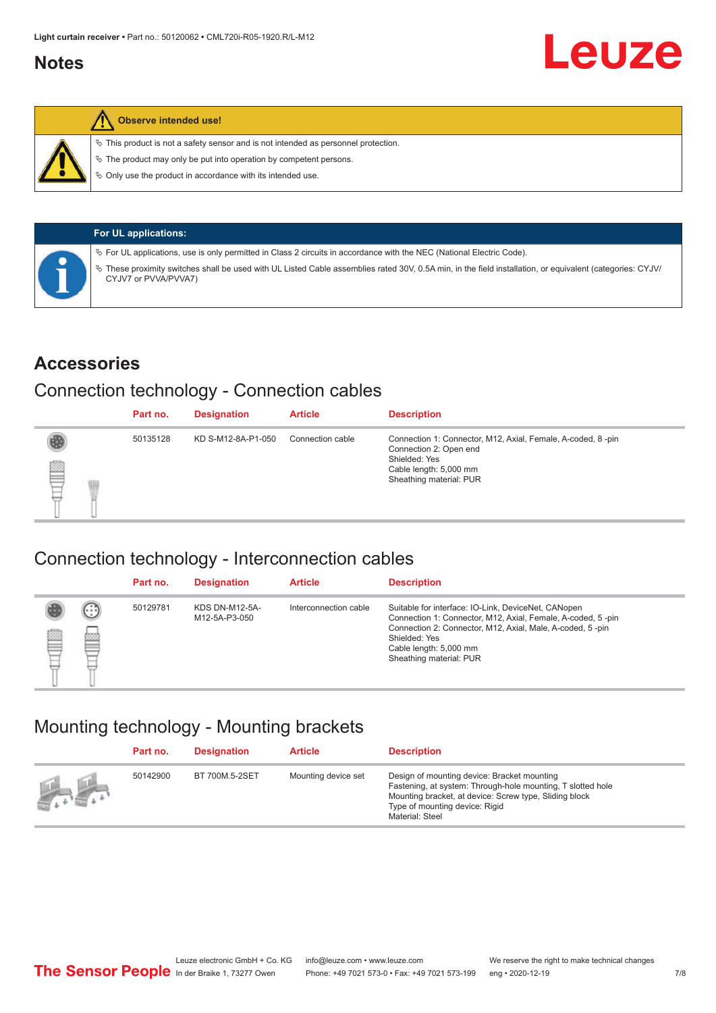#### <span id="page-6-0"></span>**Notes**



#### **Observe intended use!**

 $\%$  This product is not a safety sensor and is not intended as personnel protection.

 $\%$  The product may only be put into operation by competent persons.

 $\%$  Only use the product in accordance with its intended use.

| <b>For UL applications:</b>                                                                                                                                                     |
|---------------------------------------------------------------------------------------------------------------------------------------------------------------------------------|
| $\%$ For UL applications, use is only permitted in Class 2 circuits in accordance with the NEC (National Electric Code).                                                        |
| These proximity switches shall be used with UL Listed Cable assemblies rated 30V, 0.5A min, in the field installation, or equivalent (categories: CYJV/<br>CYJV7 or PVVA/PVVA7) |

#### **Accessories**

#### Connection technology - Connection cables

|   | Part no. | <b>Designation</b> | <b>Article</b>   | <b>Description</b>                                                                                                                                          |
|---|----------|--------------------|------------------|-------------------------------------------------------------------------------------------------------------------------------------------------------------|
| ▇ | 50135128 | KD S-M12-8A-P1-050 | Connection cable | Connection 1: Connector, M12, Axial, Female, A-coded, 8-pin<br>Connection 2: Open end<br>Shielded: Yes<br>Cable length: 5,000 mm<br>Sheathing material: PUR |

#### Connection technology - Interconnection cables

|   |               | Part no. | <b>Designation</b>                     | <b>Article</b>        | <b>Description</b>                                                                                                                                                                                                                                    |
|---|---------------|----------|----------------------------------------|-----------------------|-------------------------------------------------------------------------------------------------------------------------------------------------------------------------------------------------------------------------------------------------------|
| ▤ | $\cdots$<br>Þ | 50129781 | <b>KDS DN-M12-5A-</b><br>M12-5A-P3-050 | Interconnection cable | Suitable for interface: IO-Link, DeviceNet, CANopen<br>Connection 1: Connector, M12, Axial, Female, A-coded, 5-pin<br>Connection 2: Connector, M12, Axial, Male, A-coded, 5-pin<br>Shielded: Yes<br>Cable length: 5,000 mm<br>Sheathing material: PUR |

#### Mounting technology - Mounting brackets

|               | Part no. | <b>Designation</b> | <b>Article</b>      | <b>Description</b>                                                                                                                                                                                                        |
|---------------|----------|--------------------|---------------------|---------------------------------------------------------------------------------------------------------------------------------------------------------------------------------------------------------------------------|
| $\frac{1}{2}$ | 50142900 | BT 700M.5-2SET     | Mounting device set | Design of mounting device: Bracket mounting<br>Fastening, at system: Through-hole mounting, T slotted hole<br>Mounting bracket, at device: Screw type, Sliding block<br>Type of mounting device: Rigid<br>Material: Steel |

Leuze